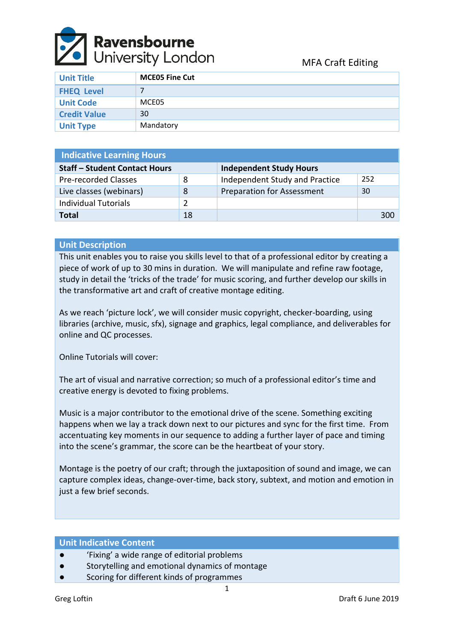

| <b>Unit Title</b>   | <b>MCEO5 Fine Cut</b> |
|---------------------|-----------------------|
| <b>FHEQ Level</b>   |                       |
| <b>Unit Code</b>    | MCE05                 |
| <b>Credit Value</b> | 30                    |
| <b>Unit Type</b>    | Mandatory             |

| <b>Indicative Learning Hours</b>     |    |                                   |     |  |  |  |
|--------------------------------------|----|-----------------------------------|-----|--|--|--|
| <b>Staff - Student Contact Hours</b> |    | <b>Independent Study Hours</b>    |     |  |  |  |
| <b>Pre-recorded Classes</b>          | 8  | Independent Study and Practice    | 252 |  |  |  |
| Live classes (webinars)              | 8  | <b>Preparation for Assessment</b> | 30  |  |  |  |
| <b>Individual Tutorials</b>          | 2  |                                   |     |  |  |  |
| <b>Total</b>                         | 18 |                                   | 300 |  |  |  |

# **Unit Description**

This unit enables you to raise you skills level to that of a professional editor by creating a piece of work of up to 30 mins in duration. We will manipulate and refine raw footage, study in detail the 'tricks of the trade' for music scoring, and further develop our skills in the transformative art and craft of creative montage editing.

As we reach 'picture lock', we will consider music copyright, checker-boarding, using libraries (archive, music, sfx), signage and graphics, legal compliance, and deliverables for online and QC processes.

Online Tutorials will cover:

The art of visual and narrative correction; so much of a professional editor's time and creative energy is devoted to fixing problems.

Music is a major contributor to the emotional drive of the scene. Something exciting happens when we lay a track down next to our pictures and sync for the first time. From accentuating key moments in our sequence to adding a further layer of pace and timing into the scene's grammar, the score can be the heartbeat of your story.

Montage is the poetry of our craft; through the juxtaposition of sound and image, we can capture complex ideas, change-over-time, back story, subtext, and motion and emotion in just a few brief seconds.

## **Unit Indicative Content**

- 'Fixing' a wide range of editorial problems
- Storytelling and emotional dynamics of montage
- Scoring for different kinds of programmes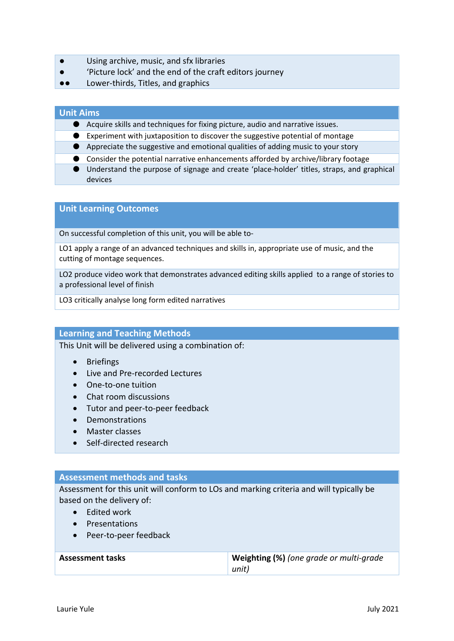- Using archive, music, and sfx libraries
- 'Picture lock' and the end of the craft editors journey
- ●● Lower-thirds, Titles, and graphics

## **Unit Aims**

- Acquire skills and techniques for fixing picture, audio and narrative issues.
- Experiment with juxtaposition to discover the suggestive potential of montage
- Appreciate the suggestive and emotional qualities of adding music to your story
- Consider the potential narrative enhancements afforded by archive/library footage
- Understand the purpose of signage and create 'place-holder' titles, straps, and graphical devices

## **Unit Learning Outcomes**

On successful completion of this unit, you will be able to-

LO1 apply a range of an advanced techniques and skills in, appropriate use of music, and the cutting of montage sequences.

LO2 produce video work that demonstrates advanced editing skills applied to a range of stories to a professional level of finish

LO3 critically analyse long form edited narratives

#### **Learning and Teaching Methods**

This Unit will be delivered using a combination of:

- Briefings
- Live and Pre-recorded Lectures
- One-to-one tuition
- Chat room discussions
- Tutor and peer-to-peer feedback
- Demonstrations
- Master classes
- Self-directed research

#### **Assessment methods and tasks**

Assessment for this unit will conform to LOs and marking criteria and will typically be based on the delivery of:

- Edited work
- Presentations
- Peer-to-peer feedback

| <b>Assessment tasks</b> | Weighting (%) (one grade or multi-grade |  |
|-------------------------|-----------------------------------------|--|
|                         | unit)                                   |  |